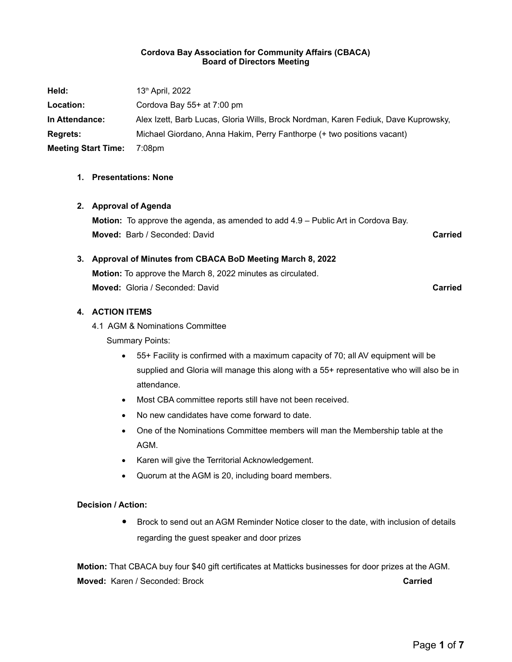#### **Cordova Bay Association for Community Affairs (CBACA) Board of Directors Meeting**

| Held:                      | $13th$ April, 2022                                                                 |
|----------------------------|------------------------------------------------------------------------------------|
| Location:                  | Cordova Bay $55+$ at 7:00 pm                                                       |
| In Attendance:             | Alex Izett, Barb Lucas, Gloria Wills, Brock Nordman, Karen Fediuk, Dave Kuprowsky, |
| <b>Regrets:</b>            | Michael Giordano, Anna Hakim, Perry Fanthorpe (+ two positions vacant)             |
| <b>Meeting Start Time:</b> | 7:08pm                                                                             |

### **1. Presentations: None**

#### **2. Approval of Agenda**

**Motion:** To approve the agenda, as amended to add 4.9 – Public Art in Cordova Bay. **Moved:** Barb / Seconded: David **Carried**

# **3. Approval of Minutes from CBACA BoD Meeting March 8, 2022 Motion:** To approve the March 8, 2022 minutes as circulated. **Moved:** Gloria / Seconded: David **Carried**

### **4. ACTION ITEMS**

4.1 AGM & Nominations Committee

Summary Points:

- 55+ Facility is confirmed with a maximum capacity of 70; all AV equipment will be supplied and Gloria will manage this along with a 55+ representative who will also be in attendance.
- Most CBA committee reports still have not been received.
- No new candidates have come forward to date.
- One of the Nominations Committee members will man the Membership table at the AGM.
- Karen will give the Territorial Acknowledgement.
- Quorum at the AGM is 20, including board members.

### **Decision / Action:**

 Brock to send out an AGM Reminder Notice closer to the date, with inclusion of details regarding the guest speaker and door prizes

**Motion:** That CBACA buy four \$40 gift certificates at Matticks businesses for door prizes at the AGM. **Moved:** Karen / Seconded: Brock **Carried**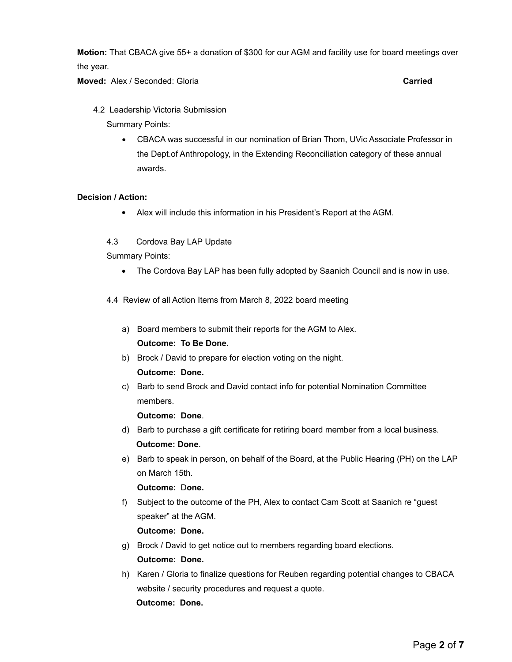**Motion:** That CBACA give 55+ a donation of \$300 for our AGM and facility use for board meetings over the year.

**Moved:** Alex / Seconded: Gloria **Carried**

4.2 Leadership Victoria Submission

Summary Points:

 CBACA was successful in our nomination of Brian Thom, UVic Associate Professor in the Dept.of Anthropology, in the Extending Reconciliation category of these annual awards.

#### **Decision / Action:**

- Alex will include this information in his President's Report at the AGM.
- 4.3 Cordova Bay LAP Update

Summary Points:

- The Cordova Bay LAP has been fully adopted by Saanich Council and is now in use.
- 4.4 Review of all Action Items from March 8, 2022 board meeting
	- a) Board members to submit their reports for the AGM to Alex. **Outcome: To Be Done.**
	- b) Brock / David to prepare for election voting on the night.

### **Outcome: Done.**

c) Barb to send Brock and David contact info for potential Nomination Committee members.

- **Outcome: Done**.<br> **d)** Barb to purchase a gift certificate for retiring board member from a local business.
- **Outcome: Done**.<br> **e**) Barb to speak in person, on behalf of the Board, at the Public Hearing (PH) on the LAP on March 15th.

**Outcome:** D**one.**

f) Subject to the outcome of the PH, Alex to contact Cam Scott at Saanich re "guest speaker" at the AGM.

**Outcome: Done.**

- g) Brock / David to get notice out to members regarding board elections. **Outcome: Done.**
- h) Karen / Gloria to finalize questions for Reuben regarding potential changes to CBACA website / security procedures and request a quote. **Outcome: Done.**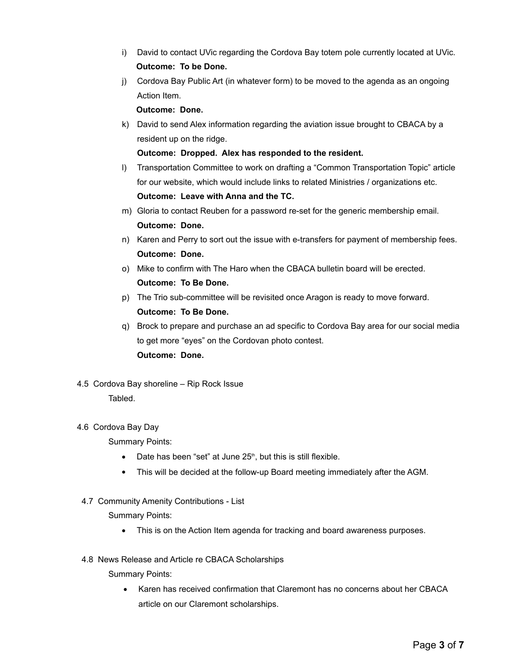- i) David to contact UVic regarding the Cordova Bay totem pole currently located at UVic. **Outcome: To be Done.**
- j) Cordova Bay Public Art (in whatever form) to be moved to the agenda as an ongoing Action Item.

**Outcome: Done.** 

k) David to send Alex information regarding the aviation issue brought to CBACA by a resident up on the ridge.

**Outcome: Dropped. Alex has responded to the resident.**

- l) Transportation Committee to work on drafting a "Common Transportation Topic" article for our website, which would include links to related Ministries / organizations etc. **Outcome: Leave with Anna and the TC.**
- m) Gloria to contact Reuben for a password re-set for the generic membership email. **Outcome: Done.**
- n) Karen and Perry to sort out the issue with e-transfers for payment of membership fees. **Outcome: Done.**
- o) Mike to confirm with The Haro when the CBACA bulletin board will be erected. **Outcome: To Be Done.**
- p) The Trio sub-committee will be revisited once Aragon is ready to move forward. **Outcome: To Be Done.**
- q) Brock to prepare and purchase an ad specific to Cordova Bay area for our social media to get more "eyes" on the Cordovan photo contest. **Outcome: Done.**
- 4.5 Cordova Bay shoreline Rip Rock Issue

Tabled.

### 4.6 Cordova Bay Day

Summary Points:

- $\bullet$  Date has been "set" at June 25<sup>th</sup>, but this is still flexible.
- This will be decided at the follow-up Board meeting immediately after the AGM.
- 4.7 Community Amenity Contributions List

Summary Points:

- This is on the Action Item agenda for tracking and board awareness purposes.
- 4.8 News Release and Article re CBACA Scholarships

Summary Points:

• Karen has received confirmation that Claremont has no concerns about her CBACA article on our Claremont scholarships.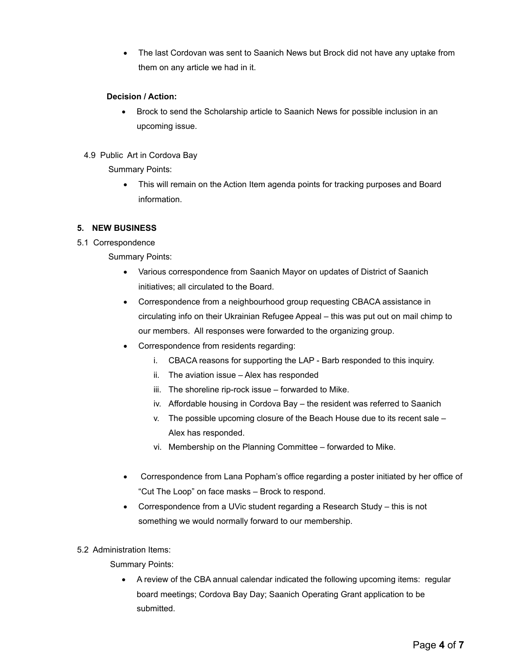The last Cordovan was sent to Saanich News but Brock did not have any uptake from them on any article we had in it.

### **Decision / Action:**

- Brock to send the Scholarship article to Saanich News for possible inclusion in an upcoming issue.
- 4.9 Public Art in Cordova Bay

Summary Points:

 This will remain on the Action Item agenda points for tracking purposes and Board information.

# **5. NEW BUSINESS**

5.1 Correspondence

Summary Points:

- Various correspondence from Saanich Mayor on updates of District of Saanich initiatives; all circulated to the Board.
- Correspondence from a neighbourhood group requesting CBACA assistance in circulating info on their Ukrainian Refugee Appeal – this was put out on mail chimp to our members. All responses were forwarded to the organizing group.
- Correspondence from residents regarding:
	- i. CBACA reasons for supporting the LAP Barb responded to this inquiry.
	- ii. The aviation issue Alex has responded
	- iii. The shoreline rip-rock issue forwarded to Mike.
	- iv. Affordable housing in Cordova Bay the resident was referred to Saanich
	- v. The possible upcoming closure of the Beach House due to its recent sale Alex has responded.
	- vi. Membership on the Planning Committee forwarded to Mike.
- Correspondence from Lana Popham's office regarding a poster initiated by her office of "Cut The Loop" on face masks – Brock to respond.
- Correspondence from a UVic student regarding a Research Study this is not something we would normally forward to our membership.

### 5.2 Administration Items:

Summary Points:

 A review of the CBA annual calendar indicated the following upcoming items: regular board meetings; Cordova Bay Day; Saanich Operating Grant application to be submitted.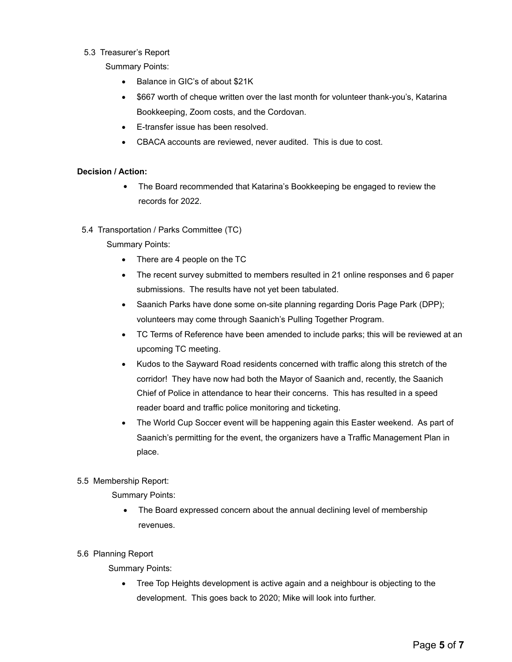### 5.3 Treasurer's Report

Summary Points:

- Balance in GIC's of about \$21K
- \$667 worth of cheque written over the last month for volunteer thank-you's, Katarina Bookkeeping, Zoom costs, and the Cordovan.
- E-transfer issue has been resolved.
- CBACA accounts are reviewed, never audited. This is due to cost.

# **Decision / Action:**

- The Board recommended that Katarina's Bookkeeping be engaged to review the records for 2022.
- 5.4 Transportation / Parks Committee (TC)

# Summary Points:

- There are 4 people on the TC
- The recent survey submitted to members resulted in 21 online responses and 6 paper submissions. The results have not yet been tabulated.
- Saanich Parks have done some on-site planning regarding Doris Page Park (DPP); volunteers may come through Saanich's Pulling Together Program.
- TC Terms of Reference have been amended to include parks; this will be reviewed at an upcoming TC meeting.
- Kudos to the Sayward Road residents concerned with traffic along this stretch of the corridor! They have now had both the Mayor of Saanich and, recently, the Saanich Chief of Police in attendance to hear their concerns. This has resulted in a speed reader board and traffic police monitoring and ticketing.
- The World Cup Soccer event will be happening again this Easter weekend. As part of Saanich's permitting for the event, the organizers have a Traffic Management Plan in place.

# 5.5 Membership Report:

Summary Points:

- The Board expressed concern about the annual declining level of membership revenues.
- 5.6 Planning Report

Summary Points:

 Tree Top Heights development is active again and a neighbour is objecting to the development. This goes back to 2020; Mike will look into further.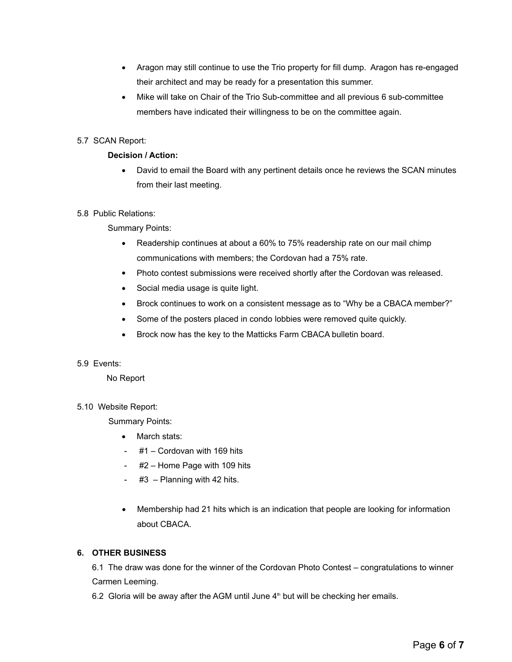- Aragon may still continue to use the Trio property for fill dump. Aragon has re-engaged their architect and may be ready for a presentation this summer.
- Mike will take on Chair of the Trio Sub-committee and all previous 6 sub-committee members have indicated their willingness to be on the committee again.

# 5.7 SCAN Report:

### **Decision / Action:**

 David to email the Board with any pertinent details once he reviews the SCAN minutes from their last meeting.

### 5.8 Public Relations:

Summary Points:

- Readership continues at about a 60% to 75% readership rate on our mail chimp communications with members; the Cordovan had a 75% rate.
- Photo contest submissions were received shortly after the Cordovan was released.
- Social media usage is quite light.
- Brock continues to work on a consistent message as to "Why be a CBACA member?"
- Some of the posters placed in condo lobbies were removed quite quickly.
- Brock now has the key to the Matticks Farm CBACA bulletin board.

### 5.9 Events:

No Report

### 5.10 Website Report:

Summary Points:

- March stats:
- #1 Cordovan with 169 hits
- #2 Home Page with 109 hits
- $#3$  Planning with 42 hits.
- Membership had 21 hits which is an indication that people are looking for information about CBACA.

### **6. OTHER BUSINESS**

6.1 The draw was done for the winner of the Cordovan Photo Contest – congratulations to winner Carmen Leeming.

6.2 Gloria will be away after the AGM until June  $4<sup>th</sup>$  but will be checking her emails.